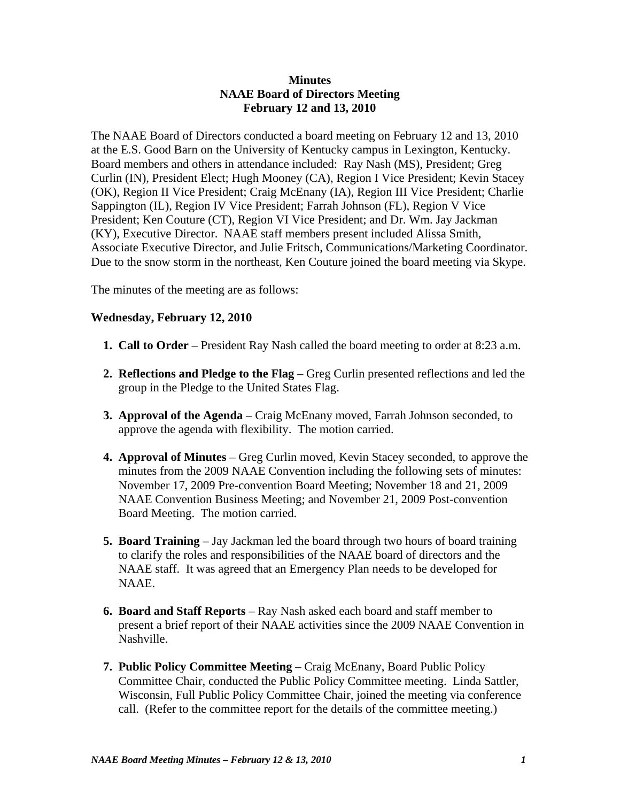## **Minutes NAAE Board of Directors Meeting February 12 and 13, 2010**

The NAAE Board of Directors conducted a board meeting on February 12 and 13, 2010 at the E.S. Good Barn on the University of Kentucky campus in Lexington, Kentucky. Board members and others in attendance included: Ray Nash (MS), President; Greg Curlin (IN), President Elect; Hugh Mooney (CA), Region I Vice President; Kevin Stacey (OK), Region II Vice President; Craig McEnany (IA), Region III Vice President; Charlie Sappington (IL), Region IV Vice President; Farrah Johnson (FL), Region V Vice President; Ken Couture (CT), Region VI Vice President; and Dr. Wm. Jay Jackman (KY), Executive Director. NAAE staff members present included Alissa Smith, Associate Executive Director, and Julie Fritsch, Communications/Marketing Coordinator. Due to the snow storm in the northeast, Ken Couture joined the board meeting via Skype.

The minutes of the meeting are as follows:

## **Wednesday, February 12, 2010**

- **1. Call to Order** President Ray Nash called the board meeting to order at 8:23 a.m.
- **2. Reflections and Pledge to the Flag** Greg Curlin presented reflections and led the group in the Pledge to the United States Flag.
- **3. Approval of the Agenda** Craig McEnany moved, Farrah Johnson seconded, to approve the agenda with flexibility. The motion carried.
- **4. Approval of Minutes** Greg Curlin moved, Kevin Stacey seconded, to approve the minutes from the 2009 NAAE Convention including the following sets of minutes: November 17, 2009 Pre-convention Board Meeting; November 18 and 21, 2009 NAAE Convention Business Meeting; and November 21, 2009 Post-convention Board Meeting. The motion carried.
- **5. Board Training** Jay Jackman led the board through two hours of board training to clarify the roles and responsibilities of the NAAE board of directors and the NAAE staff. It was agreed that an Emergency Plan needs to be developed for NAAE.
- **6. Board and Staff Reports** Ray Nash asked each board and staff member to present a brief report of their NAAE activities since the 2009 NAAE Convention in Nashville.
- **7. Public Policy Committee Meeting** Craig McEnany, Board Public Policy Committee Chair, conducted the Public Policy Committee meeting. Linda Sattler, Wisconsin, Full Public Policy Committee Chair, joined the meeting via conference call. (Refer to the committee report for the details of the committee meeting.)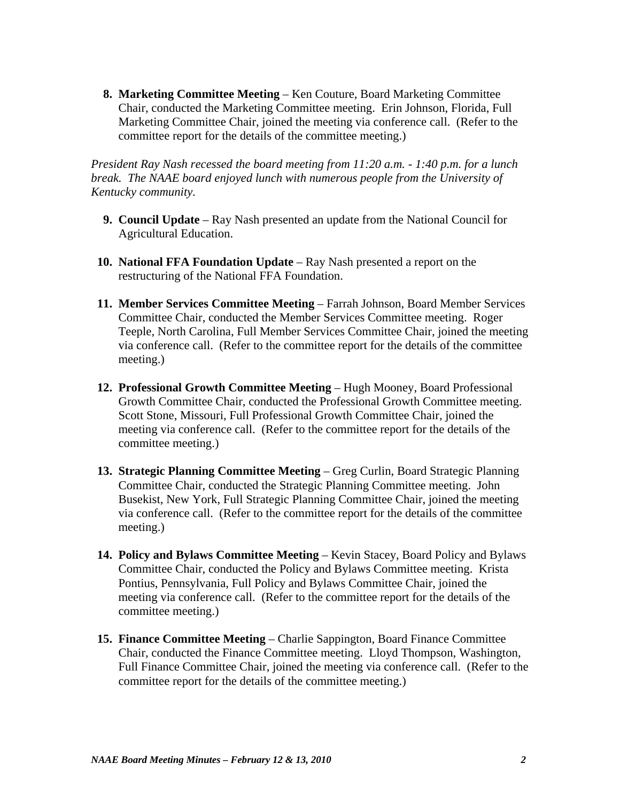**8. Marketing Committee Meeting** – Ken Couture, Board Marketing Committee Chair, conducted the Marketing Committee meeting. Erin Johnson, Florida, Full Marketing Committee Chair, joined the meeting via conference call. (Refer to the committee report for the details of the committee meeting.)

*President Ray Nash recessed the board meeting from 11:20 a.m. - 1:40 p.m. for a lunch break. The NAAE board enjoyed lunch with numerous people from the University of Kentucky community.*

- **9. Council Update** Ray Nash presented an update from the National Council for Agricultural Education.
- **10. National FFA Foundation Update** Ray Nash presented a report on the restructuring of the National FFA Foundation.
- **11. Member Services Committee Meeting**  Farrah Johnson, Board Member Services Committee Chair, conducted the Member Services Committee meeting. Roger Teeple, North Carolina, Full Member Services Committee Chair, joined the meeting via conference call. (Refer to the committee report for the details of the committee meeting.)
- **12. Professional Growth Committee Meeting** Hugh Mooney, Board Professional Growth Committee Chair, conducted the Professional Growth Committee meeting. Scott Stone, Missouri, Full Professional Growth Committee Chair, joined the meeting via conference call. (Refer to the committee report for the details of the committee meeting.)
- **13. Strategic Planning Committee Meeting** Greg Curlin, Board Strategic Planning Committee Chair, conducted the Strategic Planning Committee meeting. John Busekist, New York, Full Strategic Planning Committee Chair, joined the meeting via conference call. (Refer to the committee report for the details of the committee meeting.)
- **14. Policy and Bylaws Committee Meeting**  Kevin Stacey, Board Policy and Bylaws Committee Chair, conducted the Policy and Bylaws Committee meeting. Krista Pontius, Pennsylvania, Full Policy and Bylaws Committee Chair, joined the meeting via conference call. (Refer to the committee report for the details of the committee meeting.)
- **15. Finance Committee Meeting**  Charlie Sappington, Board Finance Committee Chair, conducted the Finance Committee meeting. Lloyd Thompson, Washington, Full Finance Committee Chair, joined the meeting via conference call. (Refer to the committee report for the details of the committee meeting.)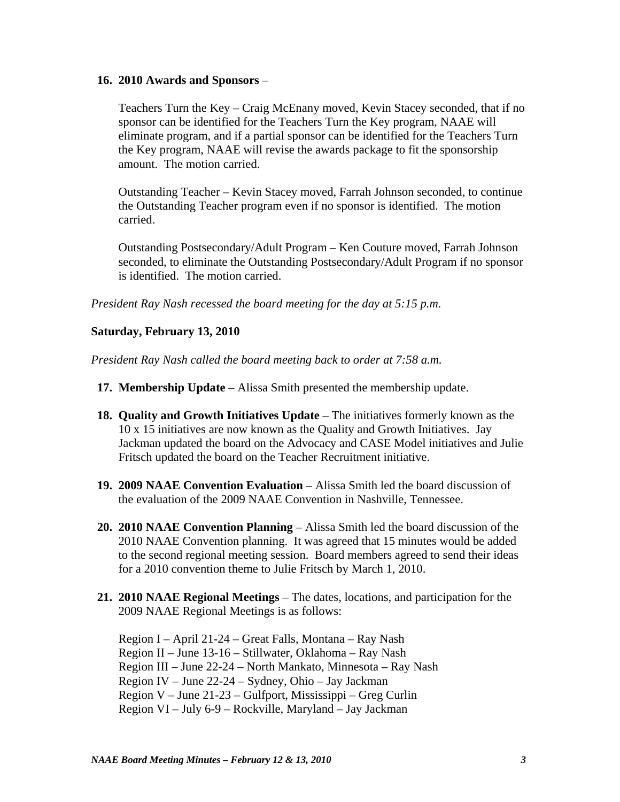## **16. 2010 Awards and Sponsors** –

Teachers Turn the Key – Craig McEnany moved, Kevin Stacey seconded, that if no sponsor can be identified for the Teachers Turn the Key program, NAAE will eliminate program, and if a partial sponsor can be identified for the Teachers Turn the Key program, NAAE will revise the awards package to fit the sponsorship amount. The motion carried.

 Outstanding Teacher – Kevin Stacey moved, Farrah Johnson seconded, to continue the Outstanding Teacher program even if no sponsor is identified. The motion carried.

 Outstanding Postsecondary/Adult Program – Ken Couture moved, Farrah Johnson seconded, to eliminate the Outstanding Postsecondary/Adult Program if no sponsor is identified. The motion carried.

*President Ray Nash recessed the board meeting for the day at 5:15 p.m.*

## **Saturday, February 13, 2010**

*President Ray Nash called the board meeting back to order at 7:58 a.m.* 

- **17. Membership Update** Alissa Smith presented the membership update.
- **18. Quality and Growth Initiatives Update** The initiatives formerly known as the 10 x 15 initiatives are now known as the Quality and Growth Initiatives. Jay Jackman updated the board on the Advocacy and CASE Model initiatives and Julie Fritsch updated the board on the Teacher Recruitment initiative.
- **19. 2009 NAAE Convention Evaluation** Alissa Smith led the board discussion of the evaluation of the 2009 NAAE Convention in Nashville, Tennessee.
- **20. 2010 NAAE Convention Planning** Alissa Smith led the board discussion of the 2010 NAAE Convention planning. It was agreed that 15 minutes would be added to the second regional meeting session. Board members agreed to send their ideas for a 2010 convention theme to Julie Fritsch by March 1, 2010.
- **21. 2010 NAAE Regional Meetings** The dates, locations, and participation for the 2009 NAAE Regional Meetings is as follows:

 Region I – April 21-24 – Great Falls, Montana – Ray Nash Region II – June 13-16 – Stillwater, Oklahoma – Ray Nash Region III – June 22-24 – North Mankato, Minnesota – Ray Nash Region IV – June 22-24 – Sydney, Ohio – Jay Jackman Region V – June 21-23 – Gulfport, Mississippi – Greg Curlin Region VI – July 6-9 – Rockville, Maryland – Jay Jackman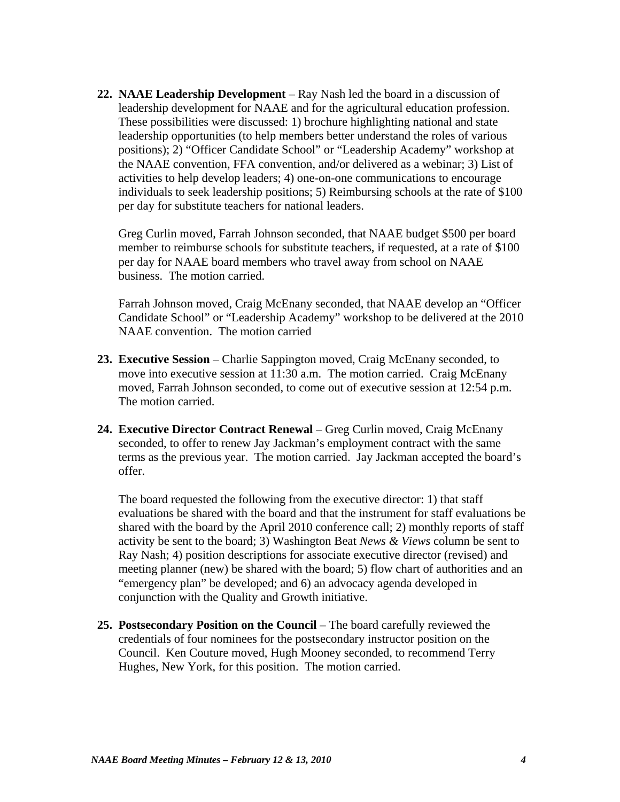**22. NAAE Leadership Development** – Ray Nash led the board in a discussion of leadership development for NAAE and for the agricultural education profession. These possibilities were discussed: 1) brochure highlighting national and state leadership opportunities (to help members better understand the roles of various positions); 2) "Officer Candidate School" or "Leadership Academy" workshop at the NAAE convention, FFA convention, and/or delivered as a webinar; 3) List of activities to help develop leaders; 4) one-on-one communications to encourage individuals to seek leadership positions; 5) Reimbursing schools at the rate of \$100 per day for substitute teachers for national leaders.

 Greg Curlin moved, Farrah Johnson seconded, that NAAE budget \$500 per board member to reimburse schools for substitute teachers, if requested, at a rate of \$100 per day for NAAE board members who travel away from school on NAAE business. The motion carried.

 Farrah Johnson moved, Craig McEnany seconded, that NAAE develop an "Officer Candidate School" or "Leadership Academy" workshop to be delivered at the 2010 NAAE convention. The motion carried

- **23. Executive Session** Charlie Sappington moved, Craig McEnany seconded, to move into executive session at 11:30 a.m. The motion carried. Craig McEnany moved, Farrah Johnson seconded, to come out of executive session at 12:54 p.m. The motion carried.
- **24. Executive Director Contract Renewal** Greg Curlin moved, Craig McEnany seconded, to offer to renew Jay Jackman's employment contract with the same terms as the previous year. The motion carried. Jay Jackman accepted the board's offer.

 The board requested the following from the executive director: 1) that staff evaluations be shared with the board and that the instrument for staff evaluations be shared with the board by the April 2010 conference call; 2) monthly reports of staff activity be sent to the board; 3) Washington Beat *News & Views* column be sent to Ray Nash; 4) position descriptions for associate executive director (revised) and meeting planner (new) be shared with the board; 5) flow chart of authorities and an "emergency plan" be developed; and 6) an advocacy agenda developed in conjunction with the Quality and Growth initiative.

**25. Postsecondary Position on the Council** – The board carefully reviewed the credentials of four nominees for the postsecondary instructor position on the Council. Ken Couture moved, Hugh Mooney seconded, to recommend Terry Hughes, New York, for this position. The motion carried.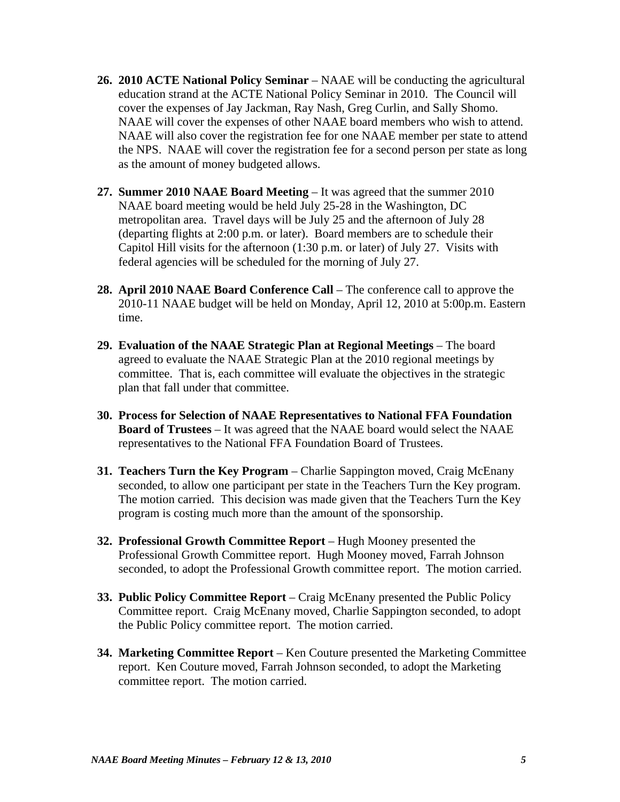- **26. 2010 ACTE National Policy Seminar** NAAE will be conducting the agricultural education strand at the ACTE National Policy Seminar in 2010. The Council will cover the expenses of Jay Jackman, Ray Nash, Greg Curlin, and Sally Shomo. NAAE will cover the expenses of other NAAE board members who wish to attend. NAAE will also cover the registration fee for one NAAE member per state to attend the NPS. NAAE will cover the registration fee for a second person per state as long as the amount of money budgeted allows.
- **27. Summer 2010 NAAE Board Meeting** It was agreed that the summer 2010 NAAE board meeting would be held July 25-28 in the Washington, DC metropolitan area. Travel days will be July 25 and the afternoon of July 28 (departing flights at 2:00 p.m. or later). Board members are to schedule their Capitol Hill visits for the afternoon (1:30 p.m. or later) of July 27. Visits with federal agencies will be scheduled for the morning of July 27.
- **28. April 2010 NAAE Board Conference Call** The conference call to approve the 2010-11 NAAE budget will be held on Monday, April 12, 2010 at 5:00p.m. Eastern time.
- **29. Evaluation of the NAAE Strategic Plan at Regional Meetings** The board agreed to evaluate the NAAE Strategic Plan at the 2010 regional meetings by committee. That is, each committee will evaluate the objectives in the strategic plan that fall under that committee.
- **30. Process for Selection of NAAE Representatives to National FFA Foundation Board of Trustees** – It was agreed that the NAAE board would select the NAAE representatives to the National FFA Foundation Board of Trustees.
- **31. Teachers Turn the Key Program** Charlie Sappington moved, Craig McEnany seconded, to allow one participant per state in the Teachers Turn the Key program. The motion carried. This decision was made given that the Teachers Turn the Key program is costing much more than the amount of the sponsorship.
- **32. Professional Growth Committee Report** Hugh Mooney presented the Professional Growth Committee report. Hugh Mooney moved, Farrah Johnson seconded, to adopt the Professional Growth committee report. The motion carried.
- **33. Public Policy Committee Report** Craig McEnany presented the Public Policy Committee report. Craig McEnany moved, Charlie Sappington seconded, to adopt the Public Policy committee report. The motion carried.
- **34. Marketing Committee Report**  Ken Couture presented the Marketing Committee report. Ken Couture moved, Farrah Johnson seconded, to adopt the Marketing committee report. The motion carried.